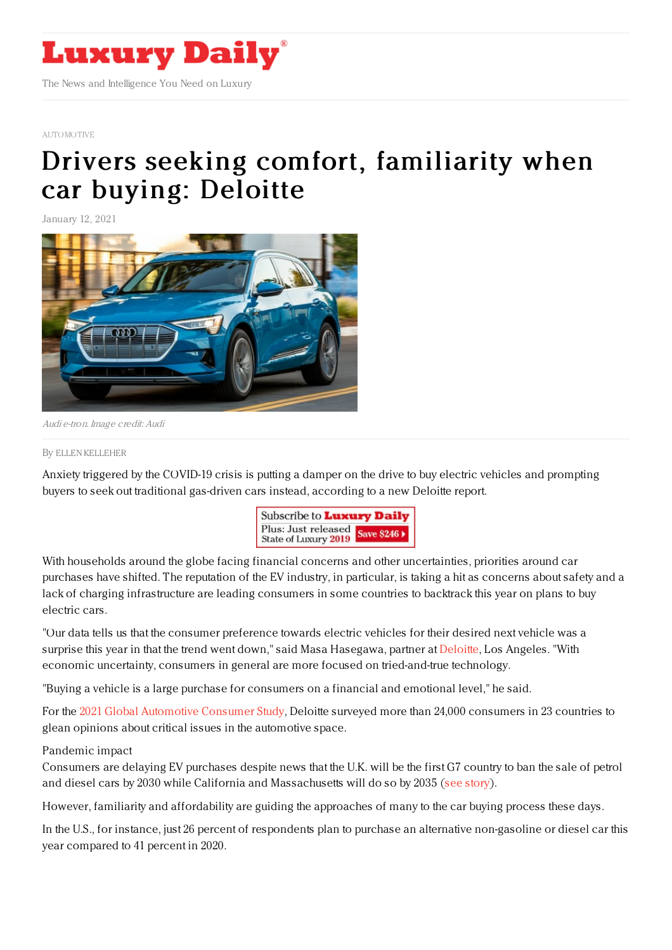

### [AUTOMOTIVE](https://www.luxurydaily.com/category/sectors/automotive-industry-sectors/)

# Drivers seeking comfort, [familiarity](https://www.luxurydaily.com/consumers-put-plans-for-electric-vehicles-on-pause-in-2021-deloitte/) when car buying: Deloitte

January 12, 2021



Audi e-tron. Image credit: Audi

#### By ELLEN [KELLEHER](file:///author/ellen-kelleher)

Anxiety triggered by the COVID-19 crisis is putting a damper on the drive to buy electric vehicles and prompting buyers to seek out traditional gas-driven cars instead, according to a new Deloitte report.



With households around the globe facing financial concerns and other uncertainties, priorities around car purchases have shifted. The reputation of the EV industry, in particular, is taking a hit as concerns about safety and a lack of charging infrastructure are leading consumers in some countries to backtrack this year on plans to buy electric cars.

"Our data tells us that the consumer preference towards electric vehicles for their desired next vehicle was a surprise this year in that the trend went down," said Masa Hasegawa, partner at [Deloitte](http://www.deloitte.com), Los Angeles. "With economic uncertainty, consumers in general are more focused on tried-and-true technology.

"Buying a vehicle is a large purchase for consumers on a financial and emotional level," he said.

For the 2021 Global [Automotive](https://www2.deloitte.com/us/en/pages/manufacturing/articles/automotive-trends-millennials-consumer-study.html) Consumer Study, Deloitte surveyed more than 24,000 consumers in 23 countries to glean opinions about critical issues in the automotive space.

# Pandemic impact

Consumers are delaying EV purchases despite news that the U.K. will be the first G7 country to ban the sale of petrol and diesel cars by 2030 while California and Massachusetts will do so by 2035 (see [story](https://www.luxurydaily.com/outlook-2021-automotive/)).

However, familiarity and affordability are guiding the approaches of many to the car buying process these days.

In the U.S., for instance, just 26 percent of respondents plan to purchase an alternative non-gasoline or diesel car this year compared to 41 percent in 2020.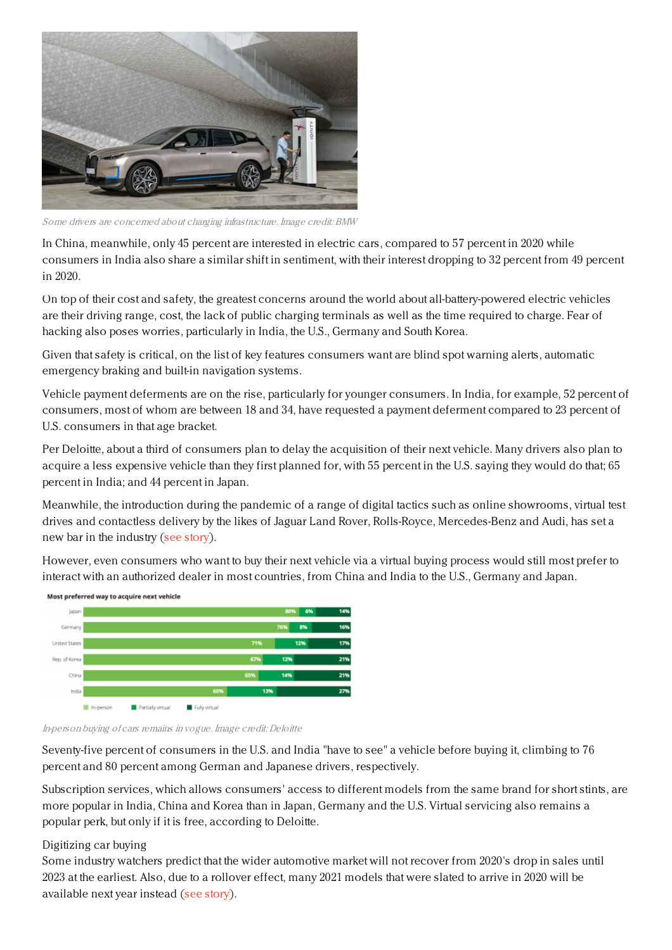

Some drivers are concerned about charging infrastructure. Image credit: BMW

In China, meanwhile, only 45 percent are interested in electric cars, compared to 57 percent in 2020 while consumers in India also share a similar shift in sentiment, with their interest dropping to 32 percent from 49 percent in 2020.

On top of their cost and safety, the greatest concerns around the world about all-battery-powered electric vehicles are their driving range, cost, the lack of public charging terminals as well as the time required to charge. Fear of hacking also poses worries, particularly in India, the U.S., Germany and South Korea.

Given that safety is critical, on the list of key features consumers want are blind spot warning alerts, automatic emergency braking and built-in navigation systems.

Vehicle payment deferments are on the rise, particularly for younger consumers. In India, for example, 52 percent of consumers, most of whom are between 18 and 34, have requested a payment deferment compared to 23 percent of U.S. consumers in that age bracket.

Per Deloitte, about a third of consumers plan to delay the acquisition of their next vehicle. Many drivers also plan to acquire a less expensive vehicle than they first planned for, with 55 percent in the U.S. saying they would do that; 65 percent in India; and 44 percent in Japan.

Meanwhile, the introduction during the pandemic of a range of digital tactics such as online showrooms, virtual test drives and contactless delivery by the likes of Jaguar Land Rover, Rolls-Royce, Mercedes-Benz and Audi, has set a new bar in the industry (see [story](https://www.luxurydaily.com/auto-manufacturers-win-ground-with-tech-in-struggle-against-covid-19-crisis/)).

However, even consumers who want to buy their next vehicle via a virtual buying process would still most prefer to interact with an authorized dealer in most countries, from China and India to the U.S., Germany and Japan.





In-person buying of cars remains in vogue. Image credit: Deloitte

Seventy-five percent of consumers in the U.S. and India "have to see" a vehicle before buying it, climbing to 76 percent and 80 percent among German and Japanese drivers, respectively.

Subscription services, which allows consumers' access to different models from the same brand for short stints, are more popular in India, China and Korea than in Japan, Germany and the U.S. Virtual servicing also remains a popular perk, but only if it is free, according to Deloitte.

## Digitizing car buying

Some industry watchers predict that the wider automotive market will not recover from 2020's drop in sales until 2023 at the earliest. Also, due to a rollover effect, many 2021 models that were slated to arrive in 2020 will be available next year instead (see [story](https://www.luxurydaily.com/outlook-2021-automotive/)).